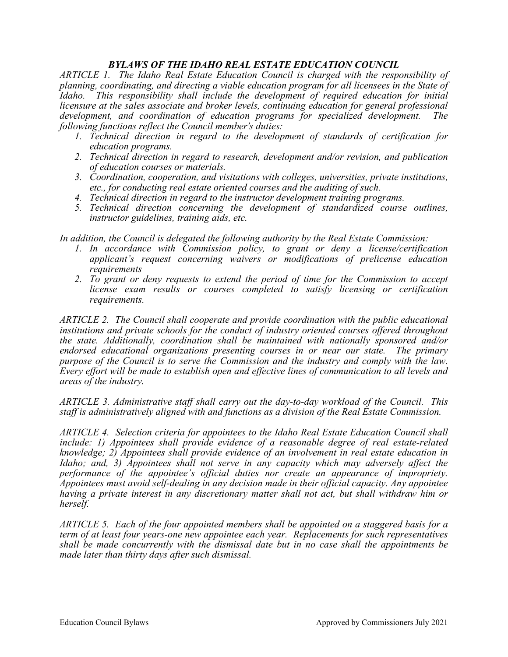## *BYLAWS OF THE IDAHO REAL ESTATE EDUCATION COUNCIL*

*ARTICLE 1. The Idaho Real Estate Education Council is charged with the responsibility of planning, coordinating, and directing a viable education program for all licensees in the State of Idaho. This responsibility shall include the development of required education for initial licensure at the sales associate and broker levels, continuing education for general professional development, and coordination of education programs for specialized development. The following functions reflect the Council member's duties:*

- *1. Technical direction in regard to the development of standards of certification for education programs.*
- *2. Technical direction in regard to research, development and/or revision, and publication of education courses or materials.*
- *3. Coordination, cooperation, and visitations with colleges, universities, private institutions, etc., for conducting real estate oriented courses and the auditing of such.*
- *4. Technical direction in regard to the instructor development training programs.*
- *5. Technical direction concerning the development of standardized course outlines, instructor guidelines, training aids, etc.*

*In addition, the Council is delegated the following authority by the Real Estate Commission:*

- *1. In accordance with Commission policy, to grant or deny a license/certification applicant's request concerning waivers or modifications of prelicense education requirements*
- *2. To grant or deny requests to extend the period of time for the Commission to accept license exam results or courses completed to satisfy licensing or certification requirements.*

*ARTICLE 2. The Council shall cooperate and provide coordination with the public educational institutions and private schools for the conduct of industry oriented courses offered throughout the state. Additionally, coordination shall be maintained with nationally sponsored and/or endorsed educational organizations presenting courses in or near our state. The primary purpose of the Council is to serve the Commission and the industry and comply with the law. Every effort will be made to establish open and effective lines of communication to all levels and areas of the industry.*

*ARTICLE 3. Administrative staff shall carry out the day-to-day workload of the Council. This staff is administratively aligned with and functions as a division of the Real Estate Commission.*

*ARTICLE 4. Selection criteria for appointees to the Idaho Real Estate Education Council shall include: 1) Appointees shall provide evidence of a reasonable degree of real estate-related knowledge; 2) Appointees shall provide evidence of an involvement in real estate education in Idaho; and, 3) Appointees shall not serve in any capacity which may adversely affect the performance of the appointee's official duties nor create an appearance of impropriety. Appointees must avoid self-dealing in any decision made in their official capacity. Any appointee having a private interest in any discretionary matter shall not act, but shall withdraw him or herself.*

*ARTICLE 5. Each of the four appointed members shall be appointed on a staggered basis for a term of at least four years-one new appointee each year. Replacements for such representatives shall be made concurrently with the dismissal date but in no case shall the appointments be made later than thirty days after such dismissal.*